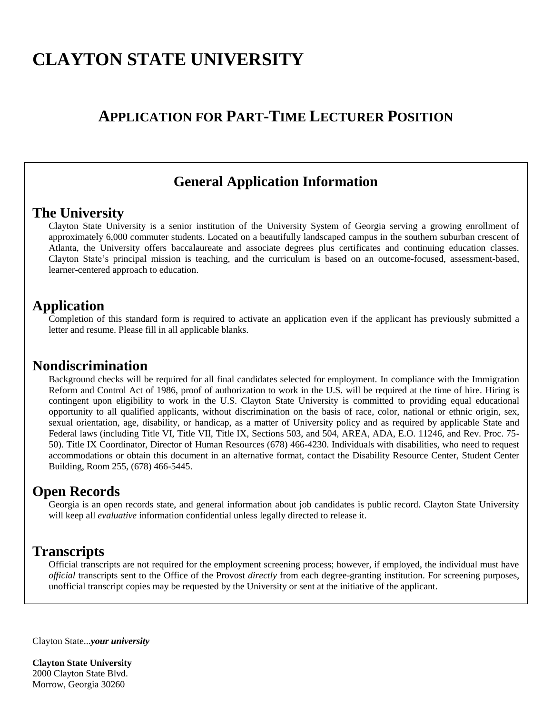# **CLAYTON STATE UNIVERSITY**

## **APPLICATION FOR PART-TIME LECTURER POSITION**

### **General Application Information**

#### **The University**

Clayton State University is a senior institution of the University System of Georgia serving a growing enrollment of approximately 6,000 commuter students. Located on a beautifully landscaped campus in the southern suburban crescent of Atlanta, the University offers baccalaureate and associate degrees plus certificates and continuing education classes. Clayton State's principal mission is teaching, and the curriculum is based on an outcome-focused, assessment-based, learner-centered approach to education.

#### **Application**

Completion of this standard form is required to activate an application even if the applicant has previously submitted a letter and resume. Please fill in all applicable blanks.

#### **Nondiscrimination**

Background checks will be required for all final candidates selected for employment. In compliance with the Immigration Reform and Control Act of 1986, proof of authorization to work in the U.S. will be required at the time of hire. Hiring is contingent upon eligibility to work in the U.S. Clayton State University is committed to providing equal educational opportunity to all qualified applicants, without discrimination on the basis of race, color, national or ethnic origin, sex, sexual orientation, age, disability, or handicap, as a matter of University policy and as required by applicable State and Federal laws (including Title VI, Title VII, Title IX, Sections 503, and 504, AREA, ADA, E.O. 11246, and Rev. Proc. 75- 50). Title IX Coordinator, Director of Human Resources (678) 466-4230. Individuals with disabilities, who need to request accommodations or obtain this document in an alternative format, contact the Disability Resource Center, Student Center Building, Room 255, (678) 466-5445.

#### **Open Records**

Georgia is an open records state, and general information about job candidates is public record. Clayton State University will keep all *evaluative* information confidential unless legally directed to release it.

#### **Transcripts**

Official transcripts are not required for the employment screening process; however, if employed, the individual must have *official* transcripts sent to the Office of the Provost *directly* from each degree-granting institution. For screening purposes, unofficial transcript copies may be requested by the University or sent at the initiative of the applicant.

Clayton State...*your university*

**Clayton State University**  2000 Clayton State Blvd. Morrow, Georgia 30260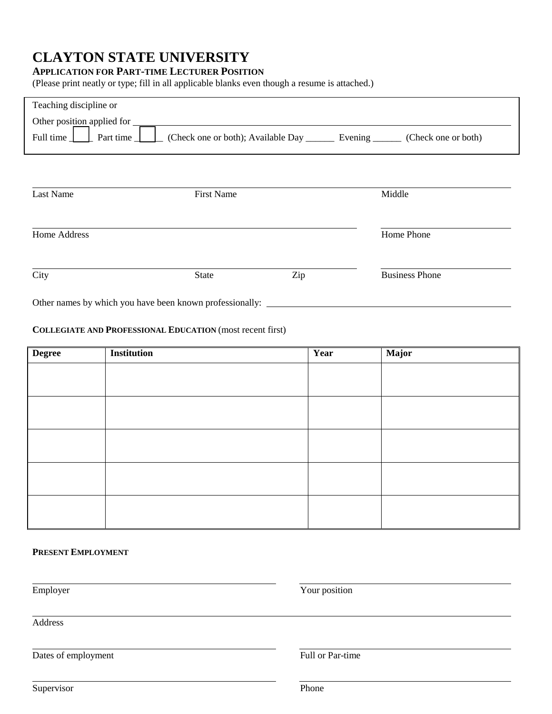## **CLAYTON STATE UNIVERSITY**

#### **APPLICATION FOR PART-TIME LECTURER POSITION**

(Please print neatly or type; fill in all applicable blanks even though a resume is attached.)

| Teaching discipline or                                   |                                                                |     |                       |
|----------------------------------------------------------|----------------------------------------------------------------|-----|-----------------------|
| Other position applied for                               |                                                                |     |                       |
| Full time<br>Part time                                   | (Check one or both); Available Day __________ Evening ________ |     | (Check one or both)   |
|                                                          |                                                                |     |                       |
|                                                          |                                                                |     |                       |
|                                                          |                                                                |     |                       |
| Last Name                                                | <b>First Name</b>                                              |     | Middle                |
|                                                          |                                                                |     |                       |
| Home Address                                             |                                                                |     | Home Phone            |
|                                                          |                                                                |     |                       |
|                                                          |                                                                |     |                       |
| City                                                     | <b>State</b>                                                   | Zip | <b>Business Phone</b> |
| Other names by which you have been known professionally: |                                                                |     |                       |

#### **COLLEGIATE AND PROFESSIONAL EDUCATION** (most recent first)

| <b>Degree</b> | Institution | Year | Major |
|---------------|-------------|------|-------|
|               |             |      |       |
|               |             |      |       |
|               |             |      |       |
|               |             |      |       |
|               |             |      |       |
|               |             |      |       |
|               |             |      |       |
|               |             |      |       |
|               |             |      |       |
|               |             |      |       |

**PRESENT EMPLOYMENT**

| Employer            | Your position    |  |
|---------------------|------------------|--|
| Address             |                  |  |
| Dates of employment | Full or Par-time |  |
| Supervisor          | Phone            |  |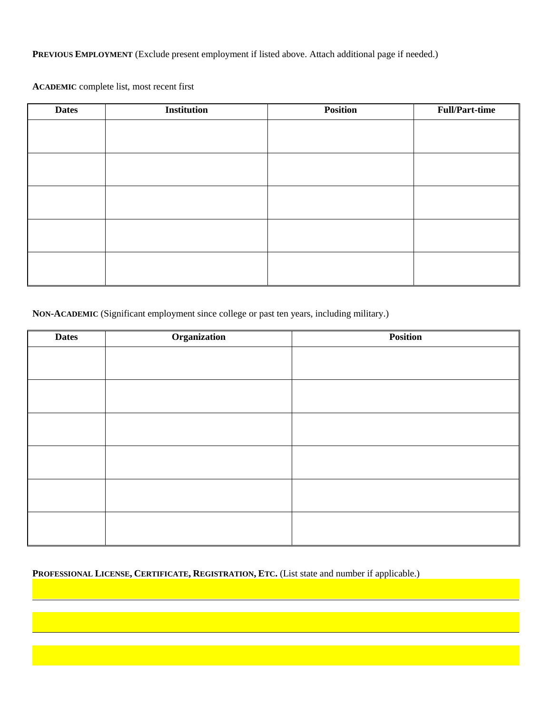**PREVIOUS EMPLOYMENT** (Exclude present employment if listed above. Attach additional page if needed.)

**ACADEMIC** complete list, most recent first

| <b>Dates</b> | <b>Institution</b> | <b>Position</b> | <b>Full/Part-time</b> |
|--------------|--------------------|-----------------|-----------------------|
|              |                    |                 |                       |
|              |                    |                 |                       |
|              |                    |                 |                       |
|              |                    |                 |                       |
|              |                    |                 |                       |
|              |                    |                 |                       |
|              |                    |                 |                       |
|              |                    |                 |                       |
|              |                    |                 |                       |
|              |                    |                 |                       |

**NON-ACADEMIC** (Significant employment since college or past ten years, including military.)

| <b>Dates</b> | Organization | Position |
|--------------|--------------|----------|
|              |              |          |
|              |              |          |
|              |              |          |
|              |              |          |
|              |              |          |
|              |              |          |
|              |              |          |
|              |              |          |
|              |              |          |
|              |              |          |
|              |              |          |
|              |              |          |

**PROFESSIONAL LICENSE, CERTIFICATE, REGISTRATION, ETC.** (List state and number if applicable.)